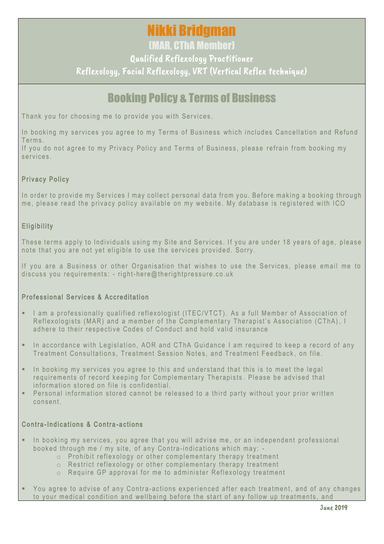# Nikki Bridgman

(MAR, CThA Member)

Qualified Reflexology Practitioner

Reflexology, Facial Reflexology, VRT (Vertical Reflex technique)

# Booking Policy & Terms of Business

Thank you for choosing me to provide you with Services.

In booking my services you agree to my Terms of Business which includes Cancellation and Refund T e r ms .

If you do not agree to my Privacy Policy and Terms of Business, please refrain from booking my s e rvices

## Privacy Policy

In order to provide my Services I may collect personal data from you. Before making a booking through me, please read the privacy policy available on my website. My database is registered with ICO

# Eligibility

These terms apply to Individuals using my Site and Services. If you are under 18 years of age, please note that you are not yet eligible to use the services provided. Sorry.

If you are a Business or other Organisation that wishes to use the Services, please email me to discuss you requirements: - right-here@therightpressure.co.uk

## Professional Services & Accreditation

- I am a professionally qualified reflexologist (ITEC/VTCT). As a full Member of Association of Reflexologists (MAR) and a member of the Complementary Therapist's Association (CThA), I adhere to their respective Codes of Conduct and hold valid insurance
- **E** In accordance with Legislation, AOR and CThA Guidance I am reguired to keep a record of any Treatment Consultations. Treatment Session Notes, and Treatment Feedback, on file.
- In booking my services you agree to this and understand that this is to meet the legal requirements of record keeping for Complementary Therapists. Please be advised that information stored on file is confidential.
- Personal information stored cannot be released to a third party without your prior written c o ns en t .

## Contra-Indications & Contra-actions

- **•** In booking my services, you agree that you will advise me, or an independent professional booked through me / my site, of any Contra-indications which may: -
	- $\circ$  Prohibit reflexology or other complementary therapy treatment
	- $\circ$  Restrict reflexology or other complementary therapy treatment
	- $\circ$  Require GP approval for me to administer Reflexology treatment
- You agree to advise of any Contra-actions experienced after each treatment, and of any changes to your medical condition and wellbeing before the start of any follow up treatments, and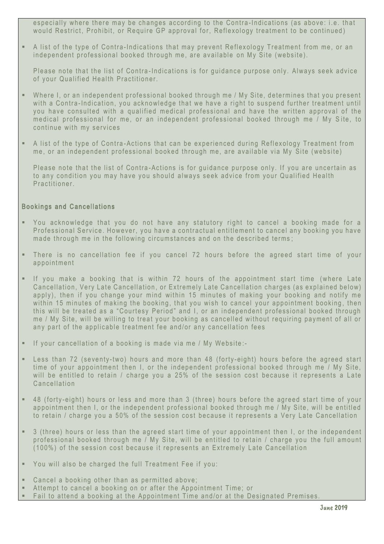especially where there may be changes according to the Contra-Indications (as above: i.e. that would Restrict, Prohibit, or Require GP approval for, Reflexology treatment to be continued)

**•** A list of the type of Contra-Indications that may prevent Reflexology Treatment from me, or an independent professional booked through me, are available on My Site (website).

Please note that the list of Contra-Indications is for guidance purpose only. Always seek advice of your Qualified Health Practitioner.

- . Where I, or an independent professional booked through me / My Site, determines that you present with a Contra-Indication, you acknowledge that we have a right to suspend further treatment until you have consulted with a qualified medical professional and have the written approval of the medical professional for me, or an independent professional booked through me / My Site, to continue with my services
- A list of the type of Contra-Actions that can be experienced during Reflexology Treatment from me, or an independent professional booked through me, are available via My Site (website)

Please note that the list of Contra-Actions is for quidance purpose only. If you are uncertain as to any condition you may have you should always seek advice from your Qualified Health Practitioner

### Bookings and Cancellations

- You acknowledge that you do not have any statutory right to cancel a booking made for a Professional Service. However, you have a contractual entitlement to cancel any booking you have made through me in the following circumstances and on the described terms;
- There is no cancellation fee if you cancel 72 hours before the agreed start time of your a p p o int ment
- $\blacksquare$  If you make a booking that is within 72 hours of the appointment start time (where Late Cancellation, Very Late Cancellation, or Extremely Late Cancellation charges (as explained below) apply), then if you change your mind within 15 minutes of making your booking and notify me within 15 minutes of making the booking, that you wish to cancel your appointment booking, then this will be treated as a "Courtesy Period" and I, or an independent professional booked through me / My Site, will be willing to treat your booking as cancelled without requiring payment of all or any part of the applicable treatment fee and/or any cancellation fees
- $\blacksquare$  If your cancellation of a booking is made via me / My Website:-
- **E** Less than 72 (seventy-two) hours and more than 48 (forty-eight) hours before the agreed start time of your appointment then I, or the independent professional booked through me / My Site, will be entitled to retain / charge you a 25% of the session cost because it represents a Late Cancellation
- . 48 (forty-eight) hours or less and more than 3 (three) hours before the agreed start time of your appointment then I, or the independent professional booked through me / My Site, will be entitled to retain / charge you a 50% of the session cost because it represents a Very Late Cancellation
- $\bullet$  3 (three) hours or less than the agreed start time of your appointment then I, or the independent professional booked through me / My Site, will be entitled to retain / charge you the full amount (100%) of the session cost because it represents an Extremely Late Cancellation
- **E** You will also be charged the full Treatment Fee if you:
- $\blacksquare$  Cancel a booking other than as permitted above;
- Attempt to cancel a booking on or after the Appointment Time; or
- Fail to attend a booking at the Appointment Time and/or at the Designated Premises.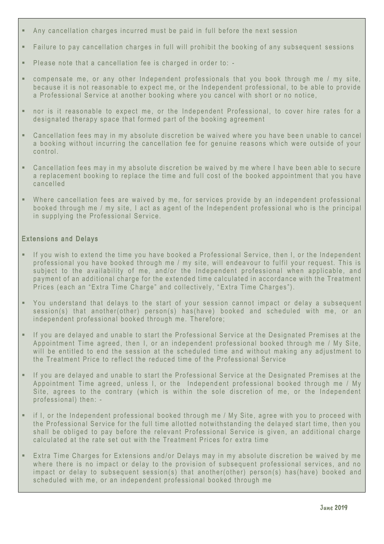- Any cancellation charges incurred must be paid in full before the next session
- **E** Failure to pay cancellation charges in full will prohibit the booking of any subsequent sessions
- $\blacksquare$  Please note that a cancellation fee is charged in order to: -
- **E** compensate me, or any other Independent professionals that you book through me / my site, because it is not reasonable to expect me, or the Independent professional, to be able to provide a Professional Service at another booking where you cancel with short or no notice,
- nor is it reasonable to expect me, or the Independent Professional, to cover hire rates for a designated therapy space that formed part of the booking agreement
- **•** Cancellation fees may in my absolute discretion be waived where you have been unable to cancel a booking without incurring the cancellation fee for genuine reasons which were outside of your control.
- Cancellation fees may in my absolute discretion be waived by me where I have been able to secure a replacement booking to replace the time and full cost of the booked appointment that you have c a nc el l ed
- . Where cancellation fees are waived by me, for services provide by an independent professional booked through me / my site, I act as agent of the Independent professional who is the principal in supplying the Professional Service.

#### Extensions and Delays

- . If you wish to extend the time you have booked a Professional Service, then I, or the Independent professional you have booked through me / my site, will endeavour to fulfil your request. This is subject to the availability of me, and/or the Independent professional when applicable, and payment of an additional charge for the extended time calculated in accordance with the Treatment Prices (each an "Extra Time Charge" and collectively, "Extra Time Charges").
- You understand that delays to the start of your session cannot impact or delay a subsequent session(s) that another(other) person(s) has (have) booked and scheduled with me, or an independent professional booked through me. Therefore;
- **E** If you are delayed and unable to start the Professional Service at the Designated Premises at the Appointment Time agreed, then I, or an independent professional booked through me / My Site, will be entitled to end the session at the scheduled time and without making any adjustment to the Treatment Price to reflect the reduced time of the Professional Service
- **E** If you are delayed and unable to start the Professional Service at the Designated Premises at the Appointment Time agreed, unless I, or the Independent professional booked through me / My Site, agrees to the contrary (which is within the sole discretion of me, or the Independent professional) then: -
- **E** if I, or the Independent professional booked through me / My Site, agree with you to proceed with the Professional Service for the full time allotted notwithstanding the delayed start time, then you shall be obliged to pay before the relevant Professional Service is given, an additional charge calculated at the rate set out with the Treatment Prices for extra time
- **Extra Time Charges for Extensions and/or Delays may in my absolute discretion be waived by me** where there is no impact or delay to the provision of subsequent professional services, and no impact or delay to subsequent session(s) that another(other) person(s) has (have) booked and scheduled with me, or an independent professional booked through me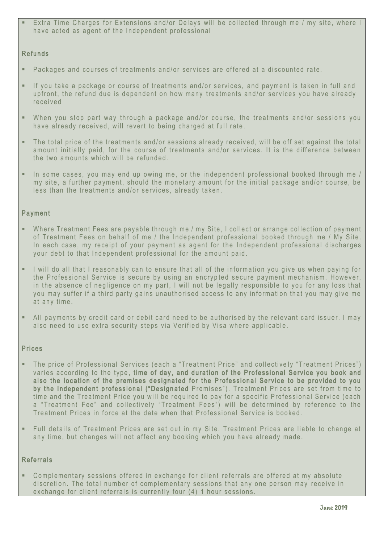Extra Time Charges for Extensions and/or Delays will be collected through me / my site, where I have acted as agent of the Independent professional

### **Refunds**

- **•** Packages and courses of treatments and/or services are offered at a discounted rate.
- **EXT** If you take a package or course of treatments and/or services, and payment is taken in full and up front, the refund due is dependent on how many treatments and/or services you have already received
- . When you stop part way through a package and/or course, the treatments and/or sessions you have already received, will revert to being charged at full rate.
- **•** The total price of the treatments and/or sessions already received, will be off set against the total amount initially paid, for the course of treatments and/or services. It is the difference between the two amounts which will be refunded.
- $\blacksquare$  In some cases, you may end up owing me, or the independent professional booked through me / my site, a further payment, should the monetary amount for the initial package and/or course, be less than the treatments and/or services, already taken.

### **Payment**

- **E** Where Treatment Fees are payable through me / my Site, I collect or arrange collection of payment of Treatment Fees on behalf of me / the Independent professional booked through me / My Site. In each case, my receipt of your payment as agent for the Independent professional discharges your debt to that Independent professional for the amount paid.
- I will do all that I reasonably can to ensure that all of the information you give us when paying for the Professional Service is secure by using an encrypted secure payment mechanism. However, in the absence of negligence on my part, I will not be legally responsible to you for any loss that you may suffer if a third party gains unauthorised access to any information that you may give me at any time.
- **E** All payments by credit card or debit card need to be authorised by the relevant card issuer. I may also need to use extra security steps via Verified by Visa where applicable.

#### **Prices**

- The price of Professional Services (each a "Treatment Price" and collectively "Treatment Prices") varies according to the type, time of day, and duration of the Professional Service you book and also the location of the premises designated for the Professional Service to be provided to you by the Independent professional ("Designated Premises"). Treatment Prices are set from time to time and the Treatment Price you will be required to pay for a specific Professional Service (each a "Treatment Fee" and collectively "Treatment Fees") will be determined by reference to the Treatment Prices in force at the date when that Professional Service is booked.
- . Full details of Treatment Prices are set out in my Site. Treatment Prices are liable to change at any time, but changes will not affect any booking which you have already made.

#### **Referrals**

**•** Complementary sessions offered in exchange for client referrals are offered at my absolute discretion. The total number of complementary sessions that any one person may receive in exchange for client referrals is currently four (4) 1 hour sessions.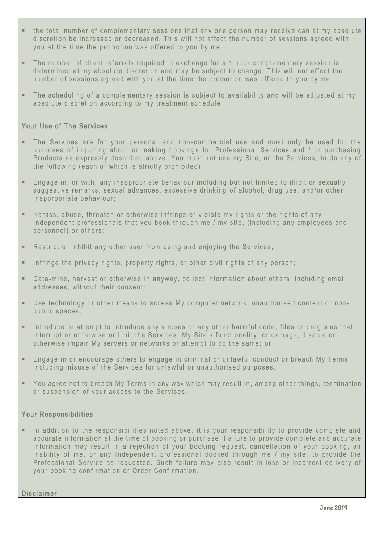- the total number of complementary sessions that any one person may receive can at my absolute discretion be increased or decreased. This will not affect the number of sessions agreed with you at the time the promotion was offered to you by me
- **•** The number of client referrals required in exchange for a 1 hour complementary session is determined at my absolute discretion and may be subject to change. This will not affect the number of sessions agreed with you at the time the promotion was offered to you by me
- . The scheduling of a complementary session is subject to availability and will be adjusted at my absolute discretion according to my treatment schedule

### Your Use of The Services

- The Services are for your personal and non-commercial use and must only be used for the purposes of inquiring about or making bookings for Professional Services and / or purchasing Products as expressly described above. You must not use my Site, or the Services, to do any of the following (each of which is strictly prohibited):
- . Engage in, or with, any inappropriate behaviour including but not limited to illicit or sexually suggestive remarks, sexual advances, excessive drinking of alcohol, drug use, and/or other in appropriate behaviour;
- Harass, abuse, threaten or otherwise infringe or violate my rights or the rights of any Independent professionals that you book through me / my site, (including any employees and personnel) or others:
- **E** Restrict or inhibit any other user from using and enioving the Services:
- **•** Infringe the privacy rights, property rights, or other civil rights of any person;
- **•** Data-mine, harvest or otherwise in anyway, collect information about others, including email addresses, without their consent;
- **•** Use technology or other means to access My computer network, unauthorised content or nonpublic spaces;
- **.** Introduce or attempt to introduce any viruses or any other harmful code, files or programs that interrupt or otherwise or limit the Services, My Site's functionality, or damage, disable or otherwise impair My servers or networks or attempt to do the same; or
- **Engage in or encourage others to engage in criminal or unlawful conduct or breach My Terms** including misuse of the Services for unlawful or unauthorised purposes.
- You agree not to breach My Terms in any way which may result in, among other things, termination or suspension of your access to the Services.

#### Your Responsibilities

**E** In addition to the responsibilities noted above, it is your responsibility to provide complete and accurate information at the time of booking or purchase. Failure to provide complete and accurate information may result in a rejection of your booking request, cancellation of your booking, an in ability of me, or any Independent professional booked through me  $/$  my site, to provide the Professional Service as requested. Such failure may also result in loss or incorrect delivery of your booking confirmation or Order Confirmation.

**Disclaimer**